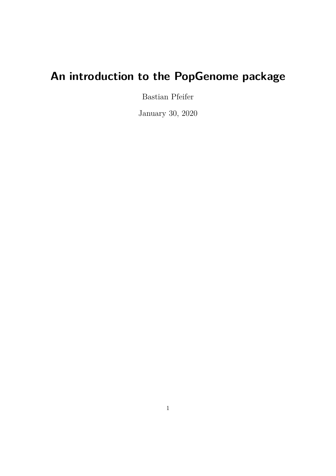# **An introduction to the PopGenome package**

Bastian Pfeifer

January 30, 2020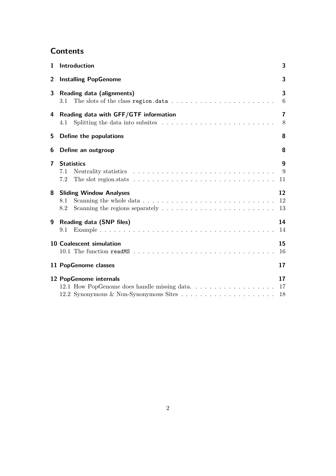# **Contents**

| 1                       | Introduction                                                                                                                                 | 3                           |  |  |  |  |
|-------------------------|----------------------------------------------------------------------------------------------------------------------------------------------|-----------------------------|--|--|--|--|
| 2                       | <b>Installing PopGenome</b><br>3                                                                                                             |                             |  |  |  |  |
| 3                       | Reading data (alignments)<br>The slots of the class region.data $\ldots \ldots \ldots \ldots \ldots \ldots \ldots \ldots$<br>3.1             | 3<br>6                      |  |  |  |  |
|                         | 4 Reading data with GFF/GTF information<br>Splitting the data into subsites $\ldots \ldots \ldots \ldots \ldots \ldots \ldots \ldots$<br>4.1 | $\overline{7}$<br>8         |  |  |  |  |
| 5                       | Define the populations                                                                                                                       | 8                           |  |  |  |  |
| 6                       | Define an outgroup                                                                                                                           | 8                           |  |  |  |  |
| $\overline{\mathbf{r}}$ | <b>Statistics</b><br>7.1<br>The slot region stats $\dots \dots \dots \dots \dots \dots \dots \dots \dots \dots \dots$<br>7.2                 | $\boldsymbol{9}$<br>9<br>11 |  |  |  |  |
| 8                       | <b>Sliding Window Analyses</b><br>8.1<br>8.2                                                                                                 | 12<br>12<br>13              |  |  |  |  |
| 9                       | Reading data (SNP files)<br>9.1                                                                                                              | 14<br>14                    |  |  |  |  |
|                         | 10 Coalescent simulation                                                                                                                     | 15<br>16                    |  |  |  |  |
|                         | 11 PopGenome classes                                                                                                                         | 17                          |  |  |  |  |
|                         | 12 PopGenome internals<br>12.1 How PopGenome does handle missing data                                                                        | 17<br>17<br>18              |  |  |  |  |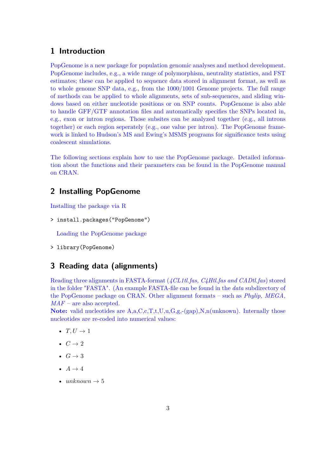# **1 Introduction**

PopGenome is a new package for population genomic analyses and method development. PopGenome includes, e.g., a wide range of polymorphism, neutrality statistics, and FST estimates; these can be applied to sequence data stored in alignment format, as well as to whole genome SNP data, e.g., from the 1000/1001 Genome projects. The full range of methods can be applied to whole alignments, sets of sub-sequences, and sliding windows based on either nucleotide positions or on SNP counts. PopGenome is also able to handle GFF/GTF annotation files and automatically specifies the SNPs located in, e.g., exon or intron regions. Those subsites can be analyzed together (e.g., all introns together) or each region seperately (e.g., one value per intron). The PopGenome framework is linked to Hudson's MS and Ewing's MSMS programs for significance tests using coalescent simulations.

The following sections explain how to use the PopGenome package. Detailed information about the functions and their parameters can be found in the PopGenome manual on CRAN.

# **2 Installing PopGenome**

Installing the package via R

> install.packages("PopGenome")

Loading the PopGenome package

> library(PopGenome)

# **3 Reading data (alignments)**

Reading three alignments in FASTA-format (*4CL1tl.fas, C4Htl.fas and CADtl.fas*) stored in the folder "FASTA". (An example FASTA-file can be found in the *data* subdirectory of the PopGenome package on CRAN. Other alignment formats – such as *Phylip, MEGA, MAF* – are also accepted.

Note: valid nucleotides are A,a,C,c,T,t,U,u,G,g,-(gap),N,n(unknown). Internally those nucleotides are re-coded into numerical values:

- $T, U \rightarrow 1$
- $C \rightarrow 2$
- $G \rightarrow 3$
- $A \rightarrow 4$
- $unknown \rightarrow 5$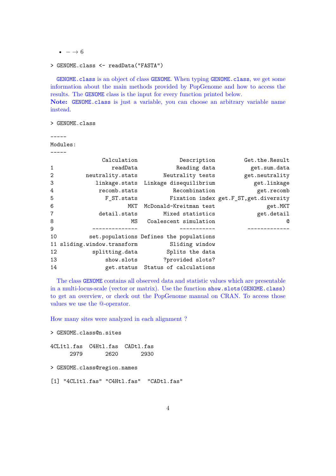$\bullet - \rightarrow 6$ 

```
> GENOME.class <- readData("FASTA")
```
GENOME.class is an object of class GENOME. When typing GENOME.class, we get some information about the main methods provided by PopGenome and how to access the results. The GENOME class is the input for every function printed below. **Note:** GENOME.class is just a variable, you can choose an arbitrary variable name instead.

> GENOME.class

#### -----

Modules:  $----$ 

|                | Calculation                                | Description                              | Get.the.Result                         |
|----------------|--------------------------------------------|------------------------------------------|----------------------------------------|
| 1              | readData                                   | Reading data                             | get.sum.data                           |
| 2              | neutrality.stats                           | Neutrality tests                         | get.neutrality                         |
| 3              |                                            | linkage.stats Linkage disequilibrium     | get.linkage                            |
| 4              | recomb.stats                               | Recombination                            | get.recomb                             |
| 5              | F ST.stats                                 |                                          | Fixation index get.F_ST, get.diversity |
| 6              |                                            | MKT McDonald-Kreitman test               | get.MKT                                |
| $\overline{7}$ | detail.stats                               | Mixed statistics                         | get.detail                             |
| 8              | MS                                         | Coalescent simulation                    | Q                                      |
| 9              |                                            |                                          |                                        |
| 10             |                                            | set. populations Defines the populations |                                        |
|                | 11 sliding.window.transform Sliding window |                                          |                                        |
| 12             | splitting.data                             | Splits the data                          |                                        |
| 13             | show.slots                                 | ?provided slots?                         |                                        |
| 14             |                                            | get.status Status of calculations        |                                        |

The class GENOME contains all observed data and statistic values which are presentable in a multi-locus-scale (vector or matrix). Use the function show.slots(GENOME.class) to get an overview, or check out the PopGenome manual on CRAN. To access those values we use the @-operator.

How many sites were analyzed in each alignment ?

> GENOME.class@n.sites

4CL1tl.fas C4Htl.fas CADtl.fas 2979 2620 2930

> GENOME.class@region.names

[1] "4CL1tl.fas" "C4Htl.fas" "CADtl.fas"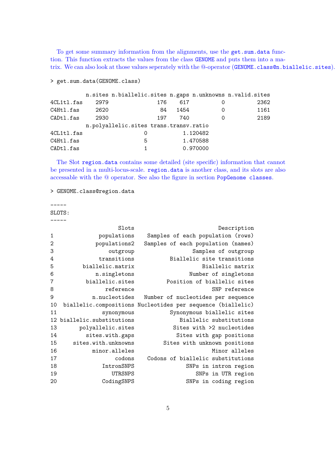To get some summary information from the alignments, use the get.sum.data function. This function extracts the values from the class GENOME and puts them into a matrix. We can also look at those values seperately with the @-operator (GENOME.class@n.biallelic.sites).

```
> get.sum.data(GENOME.class)
```

|            |      | n.sites n.biallelic.sites n.gaps n.unknowns n.valid.sites |      |          |      |
|------------|------|-----------------------------------------------------------|------|----------|------|
| 4CL1tl.fas | 2979 | 176                                                       | 617  | O        | 2362 |
| C4Htl.fas  | 2620 | 84                                                        | 1454 | 0        | 1161 |
| CADtl.fas  | 2930 | 197                                                       | 740  | Ω        | 2189 |
|            |      | n.polyallelic.sites trans.transv.ratio                    |      |          |      |
| 4CL1tl.fas |      | O                                                         |      | 1.120482 |      |
| C4Htl.fas  |      | 5                                                         |      | 1.470588 |      |
| CADtl.fas  |      |                                                           |      | 0.970000 |      |

The Slot region.data contains some detailed (site specific) information that cannot be presented in a multi-locus-scale. region.data is another class, and its slots are also accessable with the @ operator. See also the figure in section PopGenome classes.

```
> GENOME.class@region.data
```
-----

SLOTS: -----

|                | Slots                   | Description                                                 |
|----------------|-------------------------|-------------------------------------------------------------|
| 1              | populations             | Samples of each population (rows)                           |
| $\overline{2}$ | populations2            | Samples of each population (names)                          |
| 3              | outgroup                | Samples of outgroup                                         |
| 4              | transitions             | Biallelic site transitions                                  |
| 5              | biallelic.matrix        | Biallelic matrix                                            |
| 6              | n.singletons            | Number of singletons                                        |
| 7              | biallelic.sites         | Position of biallelic sites                                 |
| 8              | reference               | SNP reference                                               |
| 9              | n.nucleotides           | Number of nucleotides per sequence                          |
| 10             |                         | biallelic.compositions Nucleotides per sequence (biallelic) |
| 11             | synonymous              | Synonymous biallelic sites                                  |
| 12             | biallelic.substitutions | Biallelic substitutions                                     |
| 13             | polyallelic.sites       | Sites with >2 nucleotides                                   |
| 14             | sites.with.gaps         | Sites with gap positions                                    |
| 15             | sites.with.unknowns     | Sites with unknown positions                                |
| 16             | minor.alleles           | Minor alleles                                               |
| 17             | codons                  | Codons of biallelic substitutions                           |
| 18             | IntronSNPS              | SNPs in intron region                                       |
| 19             | UTRSNPS                 | SNPs in UTR region                                          |
| 20             | CodingSNPS              | SNPs in coding region                                       |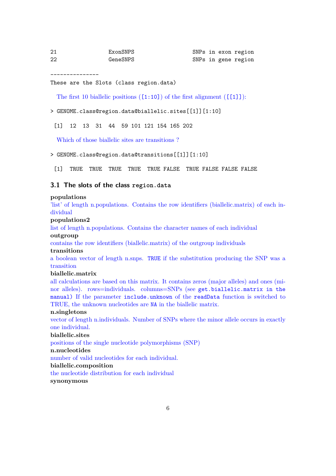| 21 | ExonSNPS |
|----|----------|
| 22 | GeneSNPS |

---------------

#### These are the Slots (class region.data)

The first 10 biallelic positions  $([1:10])$  of the first alignment  $([11])$ :

> GENOME.class@region.data@biallelic.sites[[1]][1:10]

[1] 12 13 31 44 59 101 121 154 165 202

Which of those biallelic sites are transitions ?

#### > GENOME.class@region.data@transitions[[1]][1:10]

[1] TRUE TRUE TRUE TRUE TRUE FALSE TRUE FALSE FALSE FALSE

### **3.1 The slots of the class region.data**

#### **populations**

'list' of length n.populations. Contains the row identifiers (biallelic.matrix) of each individual

### **populations2**

list of length n.populations. Contains the character names of each individual

### **outgroup**

contains the row identifiers (biallelic.matrix) of the outgroup individuals

#### **transitions**

a boolean vector of length n.snps. TRUE if the substitution producing the SNP was a transition

#### **biallelic.matrix**

all calculations are based on this matrix. It contains zeros (major alleles) and ones (minor alleles). rows=individuals. columns=SNPs (see get.biallelic.matrix in the manual) If the parameter include.unknown of the readData function is switched to TRUE, the unknown nucleotides are NA in the biallelic matrix.

#### **n.singletons**

vector of length n.individuals. Number of SNPs where the minor allele occurs in exactly one individual.

# **biallelic.sites**

positions of the single nucleotide polymorphisms (SNP)

### **n.nucleotides**

number of valid nucleotides for each individual.

### **biallelic.composition**

the nucleotide distribution for each individual

### **synonymous**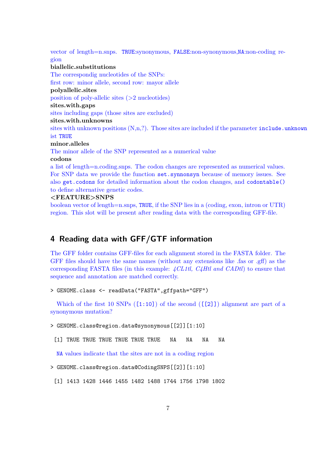vector of length=n.snps. TRUE:synonymous, FALSE:non-synonymous,NA:non-coding region

#### **biallelic.substitutions**

The correspondig nucleotides of the SNPs: first row: minor allele, second row: mayor allele **polyallelic.sites** position of poly-allelic sites (>2 nucleotides) **sites.with.gaps** sites including gaps (those sites are excluded) **sites.with.unknowns** sites with unknown positions  $(N,n,?)$ . Those sites are included if the parameter include.unknown ist TRUE **minor.alleles** The minor allele of the SNP represented as a numerical value

#### **codons**

a list of length=n.coding.snps. The codon changes are represented as numerical values. For SNP data we provide the function set.synnonsyn because of memory issues. See also get.codons for detailed information about the codon changes, and codontable() to define alternative genetic codes.

### **<FEATURE>SNPS**

boolean vector of length=n.snps, TRUE, if the SNP lies in a (coding, exon, intron or UTR) region. This slot will be present after reading data with the corresponding GFF-file.

# **4 Reading data with GFF/GTF information**

The GFF folder contains GFF-files for each alignment stored in the FASTA folder. The GFF files should have the same names (without any extensions like .fas or .gff) as the corresponding FASTA files (in this example: *4CL1tl, C4Htl and CADtl*) to ensure that sequence and annotation are matched correctly.

```
> GENOME.class <- readData("FASTA",gffpath="GFF")
```
Which of the first 10 SNPs  $(1:10)$  of the second  $(1:2]$ ) alignment are part of a synonymous mutation?

> GENOME.class@region.data@synonymous[[2]][1:10]

[1] TRUE TRUE TRUE TRUE TRUE TRUE NA NA NA NA

NA values indicate that the sites are not in a coding region

> GENOME.class@region.data@CodingSNPS[[2]][1:10]

[1] 1413 1428 1446 1455 1482 1488 1744 1756 1798 1802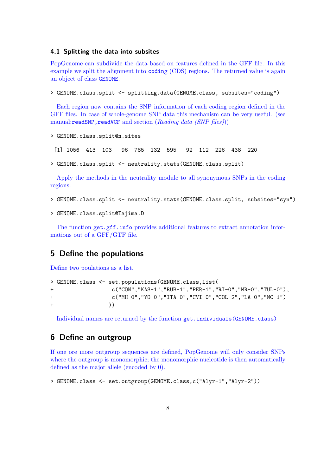### **4.1 Splitting the data into subsites**

PopGenome can subdivide the data based on features defined in the GFF file. In this example we split the alignment into coding (CDS) regions. The returned value is again an object of class GENOME.

> GENOME.class.split <- splitting.data(GENOME.class, subsites="coding")

Each region now contains the SNP information of each coding region defined in the GFF files. In case of whole-genome SNP data this mechanism can be very useful. (see manual:readSNP,readVCF and section (*Reading data (SNP files)*))

```
> GENOME.class.split@n.sites
```
[1] 1056 413 103 96 785 132 595 92 112 226 438 220

```
> GENOME.class.split <- neutrality.stats(GENOME.class.split)
```
Apply the methods in the neutrality module to all synonymous SNPs in the coding regions.

> GENOME.class.split <- neutrality.stats(GENOME.class.split, subsites="syn")

```
> GENOME.class.split@Tajima.D
```
The function  $get.get.info$  provides additional features to extract annotation informations out of a GFF/GTF file.

# **5 Define the populations**

Define two poulations as a list.

```
> GENOME.class <- set.populations(GENOME.class,list(
+ c("CON","KAS-1","RUB-1","PER-1","RI-0","MR-0","TUL-0"),
+ c("MH-0","YO-0","ITA-0","CVI-0","COL-2","LA-0","NC-1")
+ ))
```
Individual names are returned by the function get.individuals(GENOME.class)

# **6 Define an outgroup**

If one ore more outgroup sequences are defined, PopGenome will only consider SNPs where the outgroup is monomorphic; the monomorphic nucleotide is then automatically defined as the major allele (encoded by 0).

```
> GENOME.class <- set.outgroup(GENOME.class,c("Alyr-1","Alyr-2"))
```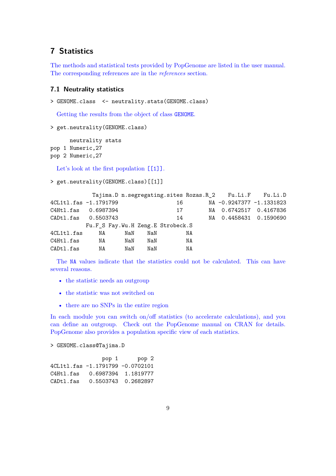# **7 Statistics**

The methods and statistical tests provided by PopGenome are listed in the user manual. The corresponding references are in the *references* section.

### **7.1 Neutrality statistics**

```
> GENOME.class <- neutrality.stats(GENOME.class)
```
Getting the results from the object of class GENOME.

```
> get.neutrality(GENOME.class)
```
neutrality stats pop 1 Numeric,27

```
pop 2 Numeric,27
```
Let's look at the first population  $[[1]]$ .

```
> get.neutrality(GENOME.class)[[1]]
```

|                       |                                   |     |     |    |    | Tajima.D n.segregating.sites Rozas.R_2 Fu.Li.F Fu.Li.D |  |
|-----------------------|-----------------------------------|-----|-----|----|----|--------------------------------------------------------|--|
| 4CL1tl.fas -1.1791799 |                                   |     |     | 16 |    | NA -0.9247377 -1.1331823                               |  |
| C4Htl.fas 0.6987394   |                                   |     |     | 17 |    | NA 0.6742517 0.4167836                                 |  |
| CADtl.fas 0.5503743   |                                   |     |     | 14 |    | NA 0.4458431 0.1590690                                 |  |
|                       | Fu.F_S Fay.Wu.H Zeng.E Strobeck.S |     |     |    |    |                                                        |  |
| 4CL1tl.fas            | NA                                | NaN | NaN |    | NA |                                                        |  |
| C4Htl.fas             | NA                                | NaN | NaN |    | NA |                                                        |  |
| CADtl.fas             | NA                                | NaN | NaN |    | ΝA |                                                        |  |

The NA values indicate that the statistics could not be calculated. This can have several reasons.

- the statistic needs an outgroup
- the statistic was not switched on
- there are no SNPs in the entire region

In each module you can switch on/off statistics (to accelerate calculations), and you can define an outgroup. Check out the PopGenome manual on CRAN for details. PopGenome also provides a population specific view of each statistics.

> GENOME.class@Tajima.D

| pop 1                            | pop 2 |
|----------------------------------|-------|
| 4CL1tl.fas -1.1791799 -0.0702101 |       |
| C4Htl.fas 0.6987394 1.1819777    |       |
| CADtl.fas 0.5503743 0.2682897    |       |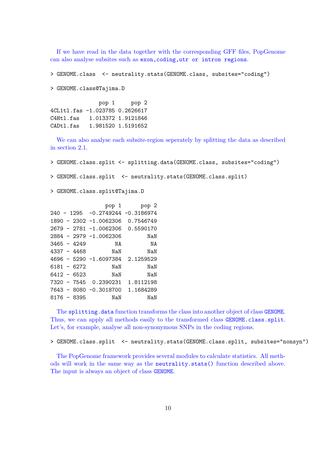If we have read in the data together with the corresponding GFF files, PopGenome can also analyse subsites such as exon,coding,utr or intron regions.

> GENOME.class <- neutrality.stats(GENOME.class, subsites="coding")

> GENOME.class@Tajima.D

pop 1 pop 2 4CL1tl.fas -1.023785 0.2626617 C4Htl.fas 1.013372 1.9121846 CADtl.fas 1.981520 1.5191652

We can also analyse each subsite-region seperately by splitting the data as described in section 2.1.

> GENOME.class.split <- splitting.data(GENOME.class, subsites="coding")

> GENOME.class.split <- neutrality.stats(GENOME.class.split)

> GENOME.class.split@Tajima.D

|  |               |                                  | pop 1 pop 2 |
|--|---------------|----------------------------------|-------------|
|  |               | 240 - 1295 -0.2749244 -0.3186974 |             |
|  |               | 1890 - 2302 -1.0062306           | 0.7546749   |
|  |               | 2679 - 2781 -1.0062306           | 0.5590170   |
|  |               | 2884 - 2979 -1.0062306           | NaN         |
|  | $3465 - 4249$ | NA                               | ΝA          |
|  | $4337 - 4468$ | NaN                              | NaN         |
|  |               | 4696 - 5290 -1.6097384 2.1259529 |             |
|  | $6181 - 6272$ | NaN                              | NaN         |
|  | $6412 - 6523$ | NaN                              | NaN         |
|  |               | 7320 - 7545 0.2390231            | 1.8112198   |
|  |               | 7643 - 8080 -0.3018700           | 1.1684289   |
|  | $8176 - 8395$ | NaN                              | NaN         |

The splitting.data function transforms the class into another object of class GENOME. Thus, we can apply all methods easily to the transformed class GENOME.class.split. Let's, for example, analyse all non-synonymous SNPs in the coding regions.

> GENOME.class.split <- neutrality.stats(GENOME.class.split, subsites="nonsyn")

The PopGenome framework provides several modules to calculate statistics. All methods will work in the same way as the neutrality.stats() function described above. The input is always an object of class GENOME.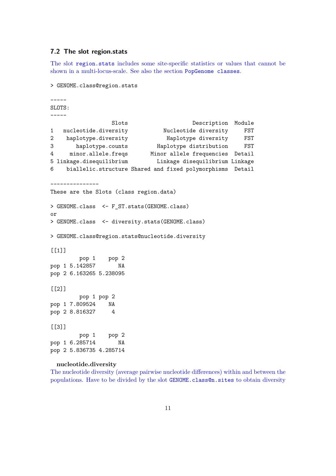### **7.2 The slot region.stats**

The slot region.stats includes some site-specific statistics or values that cannot be shown in a multi-locus-scale. See also the section PopGenome classes.

```
> GENOME.class@region.stats
-----
SLOTS:
-----
                Slots Description Module
1 nucleotide.diversity Mucleotide diversity FST
2 haplotype.diversity Haplotype diversity FST
3 haplotype.counts Haplotype distribution FST
4 minor.allele.freqs Minor allele frequencies Detail
5 linkage.disequilibrium Linkage disequilibrium Linkage
6 biallelic.structure Shared and fixed polymorphisms Detail
---------------
These are the Slots (class region.data)
> GENOME.class <- F_ST.stats(GENOME.class)
or
> GENOME.class <- diversity.stats(GENOME.class)
> GENOME.class@region.stats@nucleotide.diversity
[[1]pop 1 pop 2
pop 1 5.142857 NA
pop 2 6.163265 5.238095
[[2]]
       pop 1 pop 2
pop 1 7.809524 NA
pop 2 8.816327 4
[[]]]pop 1 pop 2
pop 1 6.285714 NA
pop 2 5.836735 4.285714
```
#### **nucleotide.diversity**

The nucleotide diversity (average pairwise nucleotide differences) within and between the populations. Have to be divided by the slot GENOME.class@n.sites to obtain diversity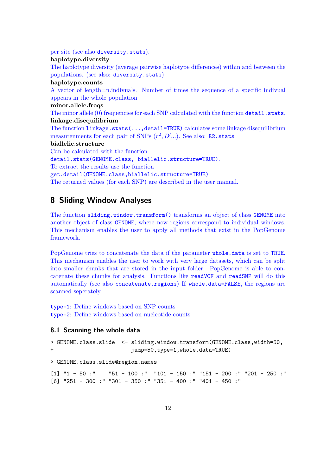per site (see also diversity.stats). **haplotype.diversity** The haplotype diversity (average pairwise haplotype differences) within and between the populations. (see also: diversity.stats) **haplotype.counts** A vector of length=n.indivuals. Number of times the sequence of a specific indivual appears in the whole population **minor.allele.freqs** The minor allele (0) frequencies for each SNP calculated with the function detail.stats. **linkage.disequilibrium** The function linkage.stats(...,detail=TRUE) calculates some linkage disequilibrium measurenments for each pair of SNPs  $(r^2, D'...)$ . See also: R2.stats **biallelic.structure** Can be calculated with the function detail.stats(GENOME.class, biallelic.structure=TRUE). To extract the results use the function get.detail(GENOME.class,biallelic.structure=TRUE) The returned values (for each SNP) are described in the user manual.

# **8 Sliding Window Analyses**

The function sliding.window.transform() transforms an object of class GENOME into another object of class GENOME, where now regions correspond to individual windows. This mechanism enables the user to apply all methods that exist in the PopGenome framework.

PopGenome tries to concatenate the data if the parameter whole.data is set to TRUE. This mechanism enables the user to work with very large datasets, which can be split into smaller chunks that are stored in the input folder. PopGenome is able to concatenate these chunks for analysis. Functions like readVCF and readSNP will do this automatically (see also concatenate.regions) If whole.data=FALSE, the regions are scanned seperately.

type=1: Define windows based on SNP counts type=2: Define windows based on nucleotide counts

# **8.1 Scanning the whole data**

```
> GENOME.class.slide <- sliding.window.transform(GENOME.class,width=50,
+ jump=50,type=1,whole.data=TRUE)
> GENOME.class.slide@region.names
[1] "1 - 50 :" "51 - 100 :" "101 - 150 :" "151 - 200 :" "201 - 250 :"
[6] "251 - 300 :" "301 - 350 :" "351 - 400 :" "401 - 450 :"
```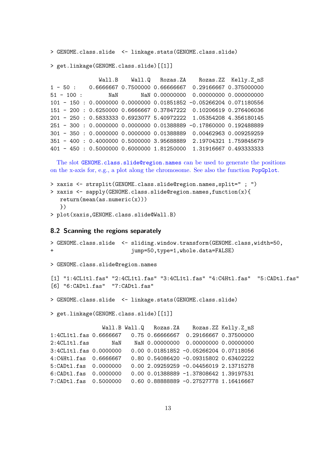> GENOME.class.slide <- linkage.stats(GENOME.class.slide)

```
> get.linkage(GENOME.class.slide)[[1]]
```
Wall.B Wall.Q Rozas.ZA Rozas.ZZ Kelly.Z\_nS 1 - 50 : 0.6666667 0.7500000 0.66666667 0.29166667 0.375000000 51 - 100 : NaN NaN 0.00000000 0.00000000 0.000000000 101 - 150 : 0.0000000 0.0000000 0.01851852 -0.05266204 0.071180556 151 - 200 : 0.6250000 0.6666667 0.37847222 0.10206619 0.276406036 201 - 250 : 0.5833333 0.6923077 5.40972222 1.05354208 4.356180145 251 - 300 : 0.0000000 0.0000000 0.01388889 -0.17860000 0.192488889 301 - 350 : 0.0000000 0.0000000 0.01388889 0.00462963 0.009259259 351 - 400 : 0.4000000 0.5000000 3.95688889 2.19704321 1.759845679 401 - 450 : 0.5000000 0.6000000 1.81250000 1.31916667 0.493333333

The slot GENOME.class.slide@region.names can be used to generate the positions on the x-axis for, e.g., a plot along the chromosome. See also the function PopGplot.

```
> xaxis <- strsplit(GENOME.class.slide@region.names,split=" ; ")
> xaxis <- sapply(GENOME.class.slide@region.names,function(x){
   return(mean(as.numeric(x)))
  })
```
> plot(xaxis,GENOME.class.slide@Wall.B)

#### **8.2 Scanning the regions separately**

```
> GENOME.class.slide <- sliding.window.transform(GENOME.class,width=50,
+ jump=50,type=1,whole.data=FALSE)
> GENOME.class.slide@region.names
[1] "1:4CL1tl.fas" "2:4CL1tl.fas" "3:4CL1tl.fas" "4:C4Htl.fas" "5:CADtl.fas"
[6] "6:CADtl.fas" "7:CADtl.fas"
> GENOME.class.slide <- linkage.stats(GENOME.class.slide)
> get.linkage(GENOME.class.slide)[[1]]
               Wall.B Wall.Q Rozas.ZA Rozas.ZZ Kelly.Z_nS
1:4CL1tl.fas 0.6666667 0.75 0.66666667 0.29166667 0.37500000
2:4CL1tl.fas NaN NaN 0.00000000 0.00000000 0.00000000
3:4CL1tl.fas 0.0000000 0.00 0.01851852 -0.05266204 0.07118056
4:C4Htl.fas 0.6666667 0.80 0.54086420 -0.09315802 0.63402222
5:CADtl.fas 0.0000000 0.00 2.09259259 -0.04456019 2.13715278
6:CADtl.fas 0.0000000 0.00 0.01388889 -1.37808642 1.39197531
7:CADtl.fas 0.5000000 0.60 0.88888889 -0.27527778 1.16416667
```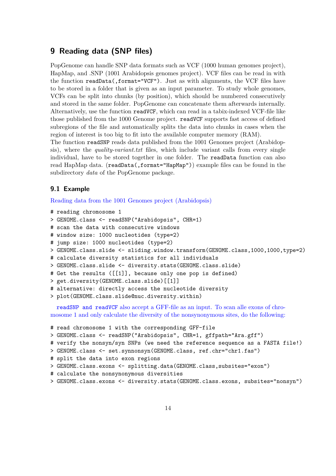# **9 Reading data (SNP files)**

PopGenome can handle SNP data formats such as VCF (1000 human genomes project), HapMap, and .SNP (1001 Arabidopsis genomes project). VCF files can be read in with the function readData(,format="VCF"). Just as with alignments, the VCF files have to be stored in a folder that is given as an input parameter. To study whole genomes, VCFs can be split into chunks (by position), which should be numbered consecutively and stored in the same folder. PopGenome can concatenate them afterwards internally. Alternatively, use the function readVCF, which can read in a tabix-indexed VCF-file like those published from the 1000 Genome project. readVCF supports fast access of defined subregions of the file and automatically splits the data into chunks in cases when the region of interest is too big to fit into the available computer memory (RAM).

The function readSNP reads data published from the 1001 Genomes project (Arabidopsis), where the *quality-variant.txt* files, which include variant calls from every single individual, have to be stored together in one folder. The readData function can also read HapMap data. (readData(,format="HapMap")) example files can be found in the subdirectory *data* of the PopGenome package.

### **9.1 Example**

Reading data from the 1001 Genomes project (Arabidopsis)

```
# reading chromosome 1
```

```
> GENOME.class <- readSNP("Arabidopsis", CHR=1)
```

```
# scan the data with consecutive windows
```

```
# window size: 1000 nucleotides (type=2)
```

```
# jump size: 1000 nucleotides (type=2)
```

```
> GENOME.class.slide <- sliding.window.transform(GENOME.class,1000,1000,type=2)
```

```
# calculate diversity statistics for all individuals
```

```
> GENOME.class.slide <- diversity.stats(GENOME.class.slide)
```

```
# Get the results ([[1]], because only one pop is defined)
```

```
> get.diversity(GENOME.class.slide)[[1]]
```

```
# alternative: directly access the nucleotide diversity
```

```
> plot(GENOME.class.slide@nuc.diversity.within)
```
readSNP and readVCF also accept a GFF-file as an input. To scan alle exons of chromosome 1 and only calculate the diversity of the nonsynonymous sites, do the following:

```
# read chromosome 1 with the corresponding GFF-file
> GENOME.class <- readSNP("Arabidopsis", CHR=1, gffpath="Ara.gff")
# verify the nonsyn/syn SNPs (we need the reference sequence as a FASTA file!)
> GENOME.class <- set.synnonsyn(GENOME.class, ref.chr="chr1.fas")
# split the data into exon regions
> GENOME.class.exons <- splitting.data(GENOME.class,subsites="exon")
# calculate the nonsynonymous diversities
> GENOME.class.exons <- diversity.stats(GENOME.class.exons, subsites="nonsyn")
```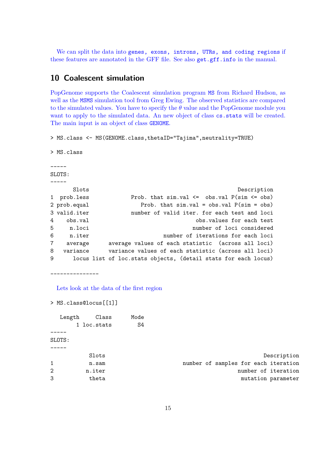We can split the data into genes, exons, introns, UTRs, and coding regions if these features are annotated in the GFF file. See also get.gff.info in the manual.

# **10 Coalescent simulation**

PopGenome supports the Coalescent simulation program MS from Richard Hudson, as well as the MSMS simulation tool from Greg Ewing. The observed statistics are compared to the simulated values. You have to specify the  $\theta$  value and the PopGenome module you want to apply to the simulated data. An new object of class cs.stats will be created. The main input is an object of class GENOME.

> MS.class <- MS(GENOME.class,thetaID="Tajima",neutrality=TRUE)

> MS.class

----- SLOTS: ----- Slots Description 1 prob.less Prob. that sim.val <= obs.val P(sim <= obs) 2 prob.equal Prob. that sim.val = obs.val P(sim = obs) 3 valid.iter number of valid iter. for each test and loci 4 obs.val obs.values for each test 5 n.loci number of loci considered 6 n.iter number of iterations for each loci 7 average average values of each statistic (across all loci) 8 variance variance values of each statistic (across all loci) 9 locus list of loc.stats objects, (detail stats for each locus)

---------------

> MS.class@locus[[1]]

Lets look at the data of the first region

| Length | Class       | Mode |                                      |
|--------|-------------|------|--------------------------------------|
|        | 1 loc.stats | S4   |                                      |
|        |             |      |                                      |
| SLOTS: |             |      |                                      |
|        |             |      |                                      |
|        | Slots       |      | Description                          |
|        | n.sam       |      | number of samples for each iteration |
| 2      | n.iter      |      | number of iteration                  |
| 3      | theta       |      | mutation parameter                   |
|        |             |      |                                      |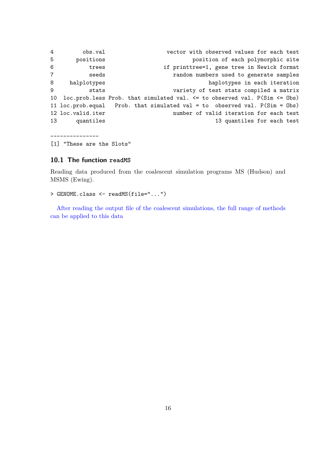4 obs.val vector with observed values for each test 5 positions position of each polymorphic site 6 trees if printtree=1, gene tree in Newick format 7 seeds random numbers used to generate samples 8 halplotypes haplotypes in each iteration 9 stats variety of test stats compiled a matrix 10 loc.prob.less Prob. that simulated val. <= to observed val. P(Sim <= Obs) 11 loc.prob.equal Prob. that simulated val = to observed val. P(Sim = Obs) 12 loc.valid.iter number of valid iteration for each test 13 quantiles 13 quantiles for each test

[1] "These are the Slots"

---------------

#### **10.1 The function readMS**

Reading data produced from the coalescent simulation programs MS (Hudson) and MSMS (Ewing).

```
> GENOME.class <- readMS(file="...")
```
After reading the output file of the coalescent simulations, the full range of methods can be applied to this data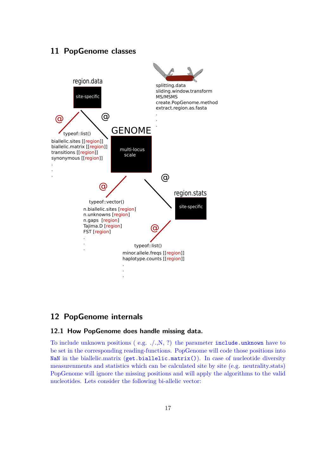# **11 PopGenome classes**



# **12 PopGenome internals**

### **12.1 How PopGenome does handle missing data.**

To include unknown positions (e.g.  $./.,N, ?$ ) the parameter include.unknown have to be set in the corresponding reading-functions. PopGenome will code those positions into NaN in the biallelic.matrix (get.biallelic.matrix()). In case of nucleotide diversity measurenments and statistics which can be calculated site by site (e.g. neutrality.stats) PopGenome will ignore the missing positions and will apply the algorithms to the valid nucleotides. Lets consider the following bi-allelic vector: